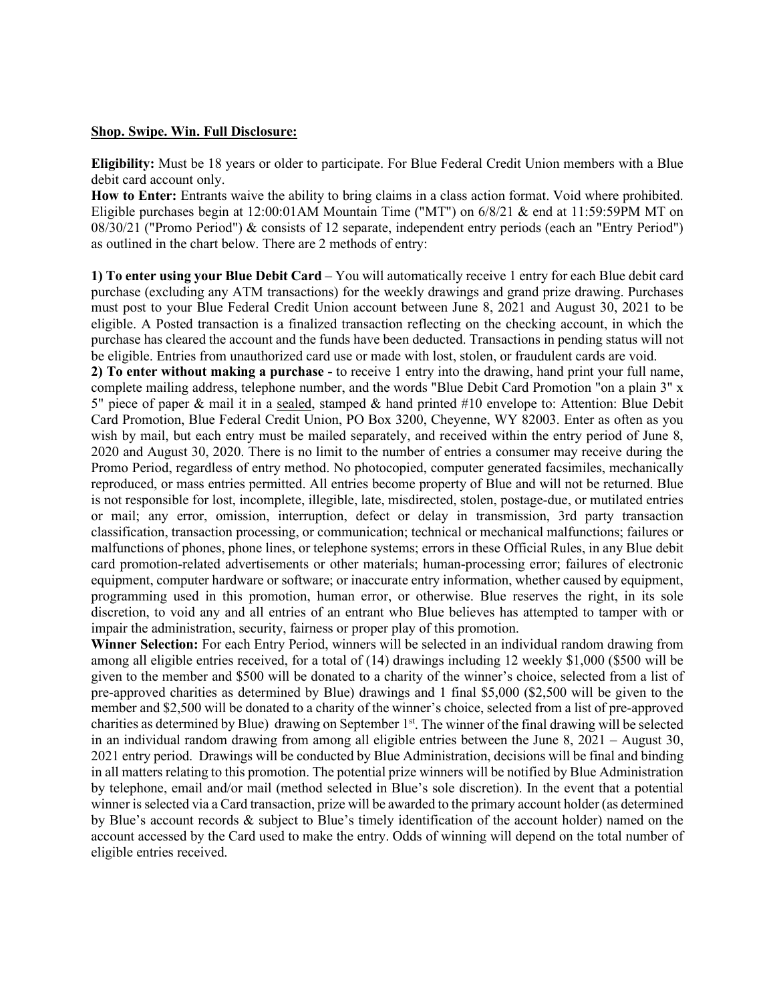## **Shop. Swipe. Win. Full Disclosure:**

**Eligibility:** Must be 18 years or older to participate. For Blue Federal Credit Union members with a Blue debit card account only.

**How to Enter:** Entrants waive the ability to bring claims in a class action format. Void where prohibited. Eligible purchases begin at 12:00:01AM Mountain Time ("MT") on 6/8/21 & end at 11:59:59PM MT on 08/30/21 ("Promo Period") & consists of 12 separate, independent entry periods (each an "Entry Period") as outlined in the chart below. There are 2 methods of entry:

**1) To enter using your Blue Debit Card** – You will automatically receive 1 entry for each Blue debit card purchase (excluding any ATM transactions) for the weekly drawings and grand prize drawing. Purchases must post to your Blue Federal Credit Union account between June 8, 2021 and August 30, 2021 to be eligible. A Posted transaction is a finalized transaction reflecting on the checking account, in which the purchase has cleared the account and the funds have been deducted. Transactions in pending status will not be eligible. Entries from unauthorized card use or made with lost, stolen, or fraudulent cards are void.

**2) To enter without making a purchase -** to receive 1 entry into the drawing, hand print your full name, complete mailing address, telephone number, and the words "Blue Debit Card Promotion "on a plain 3" x 5" piece of paper & mail it in a sealed, stamped & hand printed #10 envelope to: Attention: Blue Debit Card Promotion, Blue Federal Credit Union, PO Box 3200, Cheyenne, WY 82003. Enter as often as you wish by mail, but each entry must be mailed separately, and received within the entry period of June 8, 2020 and August 30, 2020. There is no limit to the number of entries a consumer may receive during the Promo Period, regardless of entry method. No photocopied, computer generated facsimiles, mechanically reproduced, or mass entries permitted. All entries become property of Blue and will not be returned. Blue is not responsible for lost, incomplete, illegible, late, misdirected, stolen, postage-due, or mutilated entries or mail; any error, omission, interruption, defect or delay in transmission, 3rd party transaction classification, transaction processing, or communication; technical or mechanical malfunctions; failures or malfunctions of phones, phone lines, or telephone systems; errors in these Official Rules, in any Blue debit card promotion-related advertisements or other materials; human-processing error; failures of electronic equipment, computer hardware or software; or inaccurate entry information, whether caused by equipment, programming used in this promotion, human error, or otherwise. Blue reserves the right, in its sole discretion, to void any and all entries of an entrant who Blue believes has attempted to tamper with or impair the administration, security, fairness or proper play of this promotion.

**Winner Selection:** For each Entry Period, winners will be selected in an individual random drawing from among all eligible entries received, for a total of (14) drawings including 12 weekly \$1,000 (\$500 will be given to the member and \$500 will be donated to a charity of the winner's choice, selected from a list of pre-approved charities as determined by Blue) drawings and 1 final \$5,000 (\$2,500 will be given to the member and \$2,500 will be donated to a charity of the winner's choice, selected from a list of pre-approved charities as determined by Blue) drawing on September 1st. The winner of the final drawing will be selected in an individual random drawing from among all eligible entries between the June  $8, 2021$  – August 30, 2021 entry period. Drawings will be conducted by Blue Administration, decisions will be final and binding in all matters relating to this promotion. The potential prize winners will be notified by Blue Administration by telephone, email and/or mail (method selected in Blue's sole discretion). In the event that a potential winner is selected via a Card transaction, prize will be awarded to the primary account holder (as determined by Blue's account records & subject to Blue's timely identification of the account holder) named on the account accessed by the Card used to make the entry. Odds of winning will depend on the total number of eligible entries received.